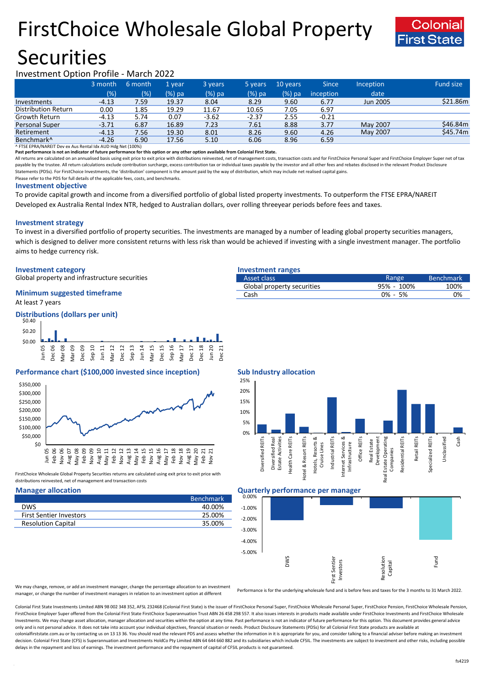# FirstChoice Wholesale Global Property **Securities**



## Investment Option Profile - March 2022

|                        | 3 month | 6 month | '1 vear  | 3 years | 5 years | 10 years | <b>Since</b>     | <b>Inception</b> | <b>Fund size</b> |
|------------------------|---------|---------|----------|---------|---------|----------|------------------|------------------|------------------|
|                        | (% )    | (%)     | $(%)$ pa | (%) pa  | (%) pa  | (%) pa   | <i>inception</i> | date             |                  |
| Investments            | $-4.13$ | 7.59    | 19.37    | 8.04    | 8.29    | 9.60     | 6.77             | Jun 2005         | \$21.86m         |
| Distribution Return    | 0.00    | 1.85    | 19.29    | 11.67   | 10.65   | 7.05     | 6.97             |                  |                  |
| <b>Growth Return</b>   | $-4.13$ | 5.74    | 0.07     | $-3.62$ | $-2.37$ | 2.55     | $-0.21$          |                  |                  |
| <b>Personal Super</b>  | $-3.71$ | 6.87    | 16.89    | 7.23    | 7.61    | 8.88     | 3.77             | May 2007         | \$46.84m         |
| Retirement             | $-4.13$ | 7.56    | 19.30    | 8.01    | 8.26    | 9.60     | 4.26             | May 2007         | \$45.74m         |
| Benchmark <sup>^</sup> | $-4.26$ | 6.90    | 17.56    | 5.10    | 6.06    | 8.96     | 6.59             |                  |                  |

^ FTSE EPRA/NAREIT Dev ex Aus Rental Idx AUD Hdg Net (100%)

**Past performance is not an indicator of future performance for this option or any other option available from Colonial First State.**

All returns are calculated on an annualised basis using exit price to exit price with distributions reinvested, net of management costs, transaction costs and for FirstChoice Personal Super and FirstChoice Employer Super n payable by the trustee. All return calculations exclude contribution surcharge, excess contribution tax or individual taxes payable by the investor and all other fees and rebates disclosed in the relevant Product Disclosur Statements (PDSs). For FirstChoice Investments, the 'distribution' component is the amount paid by the way of distribution, which may include net realised capital gains.

Please refer to the PDS for full details of the applicable fees, costs, and benchmarks.

### **Investment objective**

To provide capital growth and income from a diversified portfolio of global listed property investments. To outperform the FTSE EPRA/NAREIT Developed ex Australia Rental Index NTR, hedged to Australian dollars, over rolling threeyear periods before fees and taxes.

### **Investment strategy**

To invest in a diversified portfolio of property securities. The investments are managed by a number of leading global property securities managers, which is designed to deliver more consistent returns with less risk than would be achieved if investing with a single investment manager. The portfolio aims to hedge currency risk.

### **Investment category Investment ranges**

Global property and infrastructure securities

# **Minimum suggested timeframe**

At least 7 years



### **Performance chart (\$100,000 invested since inception) Sub Industry allocation**



FirstChoice Wholesale Global Property Securities returns are calculated using exit price to exit price with distributions reinvested, net of management and transaction costs

|                                | <b>Benchmark</b> |
|--------------------------------|------------------|
| <b>DWS</b>                     | 40.00%           |
| <b>First Sentier Investors</b> | 25.00%           |
| <b>Resolution Capital</b>      | 35.00%           |
|                                |                  |

| Asset class                | Range       | <b>Benchmark</b> |
|----------------------------|-------------|------------------|
| Global property securities | 95% - 100%  | 100%             |
| Cash                       | $0\% - 5\%$ | 0%               |



### **Manager allocation Quarterly performance per manager**



We may change, remove, or add an investment manager, change the percentage allocation to an investment manager, or change the number of investment managers in relation to an investment option at different

Performance is for the underlying wholesale fund and is before fees and taxes for the 3 months to 31 March 2022.

Colonial First State Investments Limited ABN 98 002 348 352, AFSL 232468 (Colonial First State) is the issuer of FirstChoice Personal Super, FirstChoice Wholesale Personal Super, FirstChoice Personal Super, FirstChoice Who FirstChoice Employer Super offered from the Colonial First State FirstChoice Superannuation Trust ABN 26 458 298 557. It also issues interests in products made available under FirstChoice Investments and FirstChoice Wholes Investments. We may change asset allocation, manager allocation and securities within the option at any time. Past performance is not an indicator of future performance for this option. This document provides general advic only and is not personal advice. It does not take into account your individual objectives, financial situation or needs. Product Disclosure Statements (PDSs) for all Colonial First State products are available at colonialfirststate.com.au or by contacting us on 13 13 36. You should read the relevant PDS and assess whether the information in it is appropriate for you, and consider talking to a financial adviser before making an inve decision. Colonial First State (CFS) is Superannuation and Investments HoldCo Pty Limited ABN 64 644 660 882 and its subsidiaries which include CFSIL. The investments are subject to investment and other risks, including po delays in the repayment and loss of earnings. The investment performance and the repayment of capital of CFSIL products is not guaranteed.